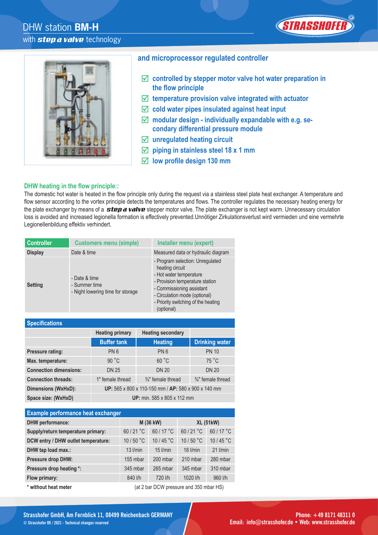## DHW station **BM-H** with *step a valve* technology





#### **and microprocessor regulated controller**

- **controlled by stepper motor valve hot water preparation in**  the flow principle
- **temperature provision valve integrated with actuator**
- **cold water pipes insulated against heat input**
- **modular design individually expandable with e.g. secondary differential pressure module**
- **unregulated heating circuit**
- **piping in stainless steel 18 x 1 mm**
- $\boxed{}$  low profile design 130 mm

#### **DHW heating in the flow principle::**

The domestic hot water is heated in the flow principle only during the request via a stainless steel plate heat exchanger. A temperature and flow sensor according to the vortex principle detects the temperatures and flows. The controller regulates the necessary heating energy for the plate exchanger by means of a *step a valve* stepper motor valve. The plate exchanger is not kept warm. Unnecessary circulation loss is avoided and increased legionella formation is effectively prevented.Unnötiger Zirkulationsverlust wird vermieden und eine vermehrte Legionellenbildung effektiv verhindert.

| <b>Controller</b> | <b>Customers menu (simple)</b>                                      | Installer menu (expert)                                                                                                                                                                                                              |
|-------------------|---------------------------------------------------------------------|--------------------------------------------------------------------------------------------------------------------------------------------------------------------------------------------------------------------------------------|
| <b>Display</b>    | Date & time                                                         | Measured data or hydraulic diagram                                                                                                                                                                                                   |
| <b>Setting</b>    | - Date & time<br>- Summer time<br>- Night lowering time for storage | - Program selection: Unregulated<br>heating circuit<br>- Hot water temperature<br>- Provision temperature station<br>- Commissioning assistant<br>- Circulation mode (optional)<br>- Priority switching of the heating<br>(optional) |

| <b>Specifications</b>         |                                                     |                               |                               |
|-------------------------------|-----------------------------------------------------|-------------------------------|-------------------------------|
|                               | <b>Heating primary</b>                              | <b>Heating secondary</b>      |                               |
|                               | <b>Buffer tank</b>                                  | <b>Heating</b>                | <b>Drinking water</b>         |
| <b>Pressure rating:</b>       | PN <sub>6</sub>                                     | PN <sub>6</sub>               | <b>PN 10</b>                  |
| Max. temperature:             | 90 °C                                               | 60 °C                         | 75 °C                         |
| <b>Connection dimensions:</b> | <b>DN 25</b>                                        | <b>DN 20</b>                  | <b>DN 20</b>                  |
| <b>Connection threads:</b>    | 1" female thread                                    | $\frac{3}{4}$ " female thread | $\frac{3}{4}$ " female thread |
| Dimensions (WxHxD):           | UP: 565 x 800 x 110-150 mm / AP: 580 x 900 x 140 mm |                               |                               |
| Space size: (WxHxD)           | <b>UP:</b> min. 585 x 805 x 112 mm                  |                               |                               |

| <b>Example performance heat exchanger</b> |            |                                             |                  |                    |
|-------------------------------------------|------------|---------------------------------------------|------------------|--------------------|
| <b>DHW</b> performance:                   | M (36 kW)  |                                             | <b>XL (51kW)</b> |                    |
| Supply/return temperature primary:        | 60 / 21 °C | 60 / 17 °C                                  | 60/21 °C         | 60/17 °C           |
| DCW entry / DHW outlet temperature:       | 10 / 50 °C | 10/45 °C                                    | 10/50 °C         | 10/45 $^{\circ}$ C |
| DHW tap load max.:                        | $13$ I/min | $15$ I/min                                  | $18$ $l/min$     | $21$ <i>l/min</i>  |
| <b>Pressure drop DHW:</b>                 | 155 mbar   | 200 mbar                                    | 210 mbar         | 280 mbar           |
| Pressure drop heating *:                  | 345 mbar   | 265 mbar                                    | 345 mbar         | 310 mbar           |
| Flow primary:                             | 840 l/h    | 720 l/h                                     | 1020 l/h         | 960 l/h            |
| $*$                                       |            | $(A+ 2$ har DCM process and $250$ mbor $H2$ |                  |                    |

**\* without heat meter** (at 2 bar DCW pressure and 350 mbar HS)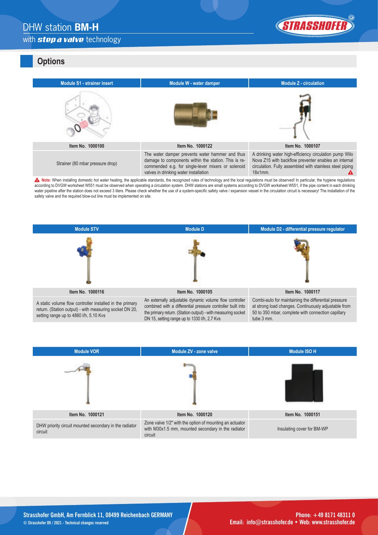# DHW station **BM-H**





#### **Options**

| <b>Module S1 - strainer insert</b> | Module W - water damper                                                                                                                                                                                | <b>Module Z - circulation</b>                                                                                                                                                            |
|------------------------------------|--------------------------------------------------------------------------------------------------------------------------------------------------------------------------------------------------------|------------------------------------------------------------------------------------------------------------------------------------------------------------------------------------------|
|                                    |                                                                                                                                                                                                        |                                                                                                                                                                                          |
| Item No. 1000100                   | Item No. 1000122                                                                                                                                                                                       | Item No. 1000107                                                                                                                                                                         |
| Strainer (80 mbar pressure drop)   | The water damper prevents water hammer and thus<br>damage to components within the station. This is re-<br>commended e.g. for single-lever mixers or solenoid<br>valves in drinking water installation | A drinking water high-efficiency circulation pump Wilo<br>Nova Z15 with backflow preventer enables an internal<br>circulation. Fully assembled with stainless steel piping<br>$18x1mm$ . |

A Note: When installing domestic hot water heating, the applicable standards, the recognized rules of technology and the local regulations must be observed! In particular, the hygiene regulations according to DVGW worksheet W551 must be observed when operating a circulation system. DHW stations are small systems according to DVGW worksheet W551, if the pipe content in each drinking water pipeline after the station does not exceed 3 liters. Please check whether the use of a system-specific safety valve / expansion vessel in the circulation circuit is necessary! The installation of the water pipeline a safety valve and the required blow-out line must be implemented on site.



DN 15, setting range up to 1330 l/h, 2.7 Kvs

| <b>Module VOR</b>                                                 | Module ZV - zone valve                                                                                                   | <b>Module ISO H</b>        |
|-------------------------------------------------------------------|--------------------------------------------------------------------------------------------------------------------------|----------------------------|
|                                                                   |                                                                                                                          |                            |
| Item No. 1000121                                                  | Item No. 1000120                                                                                                         | Item No. 1000151           |
| DHW priority circuit mounted secondary in the radiator<br>circuit | Zone valve 1/2" with the option of mounting an actuator<br>with M30x1.5 mm, mounted secondary in the radiator<br>circuit | Insulating cover for BM-WP |

tube 3 mm.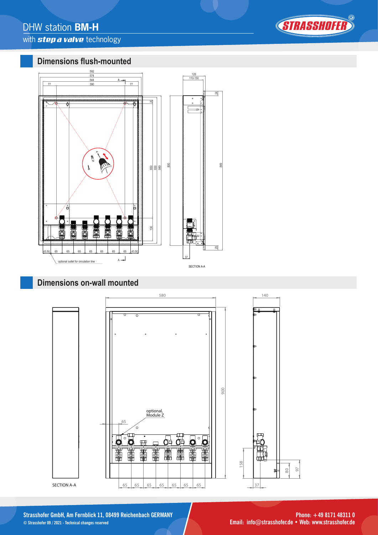## with *step a valve* technology



### **Dimensions flush-mounted**



### **Dimensions on-wall mounted**



**Strasshofer GmbH, Am Fernblick 11, 08499 Reichenbach GERMANY Phone: +49 8171 48311 0 © Strasshofer 09 / 2021 - Technical changes reserved Email: info@strasshofer.de • Web: www.strasshofer.de**